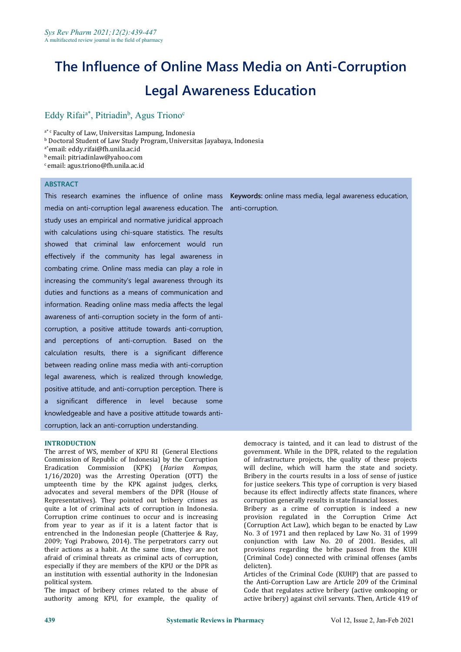# **The Influence of Online Mass Media on Anti-Corruption Legal Awareness Education**

#### Eddy Rifai<sup>a\*</sup>, Pitriadin<sup>b</sup>, Agus Triono<sup>c</sup> c and the contract of the contract of the contract of the contract of the contract of the contract of the contract of the contract of the contract of the contract of the contract of the contract of the contract of the cont

a<sup>\*</sup> c Faculty of Law, Universitas Lampung, Indonesia

**b Doctoral Student of Law Study Program, Universitas Jayabaya, Indonesia** 

a\*email: eddy.rifai@fh.unila.ac.id

<sup>b</sup> email: pitriadinlaw@yahoo.com

 $c$  email: agus.triono@fh.unila.ac.id

### **ABSTRACT**

This research examines the influence of online mass **Keywords:** online mass media, legal awareness education, media on anti-corruption legal awareness education. The anti-corruption. study uses an empirical and normative juridical approach with calculations using chi-square statistics. The results showed that criminal law enforcement would run effectively if the community has legal awareness in combating crime. Online mass media can play a role in increasing the community's legal awareness through its duties and functions as a means of communication and information. Reading online mass media affects the legal awareness of anti-corruption society in the form of anti corruption, a positive attitude towards anti-corruption, and perceptions of anti-corruption. Based on the calculation results, there is a significant difference between reading online mass media with anti-corruption legal awareness, which is realized through knowledge, positive attitude, and anti-corruption perception. There is a significant difference in level because some knowledgeable and have a positive attitude towards anti corruption, lack an anti-corruption understanding.

#### **INTRODUCTION**

The arrest of WS, member of KPU RI (General Elections Commission of Republic of Indonesia) by the Corruption Eradication Commission (KPK) (*Harian Kompas*,  $1/16/2020$ ) was the Arresting Operation (OTT) the umpteenth time by the KPK against judges, clerks, advocates and several members of the DPR (House of Representatives). They pointed out bribery crimes as quite a lot of criminal acts of corruption in Indonesia. Corruption crime continues to occur and is increasing from year to year as if it is a latent factor that is entrenched in the Indonesian people (Chatterjee & Ray, 2009; Yogi Prabowo, 2014). The perpetrators carry out their actions as a habit. At the same time, they are not afraid of criminal threats as criminal acts of corruption, especially if they are members of the KPU or the DPR as an institution with essential authority in the Indonesian political system.

The impact of bribery crimes related to the abuse of authority among KPU, for example, the quality of

democracy is tainted, and it can lead to distrust of the government. While in the DPR, related to the regulation of infrastructure projects, the quality of these projects will decline, which will harm the state and society. Bribery in the courts results in a loss of sense of justice for justice seekers. This type of corruption is very biased because its effect indirectly affects state finances, where corruption generally results in state financial losses.

Bribery as a crime of corruption is indeed a new provision regulated in the Corruption Crime Act (Corruption Act Law), which began to be enacted by Law No. 3 of 1971 and then replaced by Law No. 31 of 1999 conjunction with Law No. 20 of 2001. Besides, all provisions regarding the bribe passed from the KUH (Criminal Code) connected with criminal offenses (ambs delicten).

Articles of the Criminal Code (KUHP) that are passed to the Anti-Corruption Law are Article 209 of the Criminal Code that regulates active bribery (active omkooping or active bribery) against civil servants. Then, Article 419 of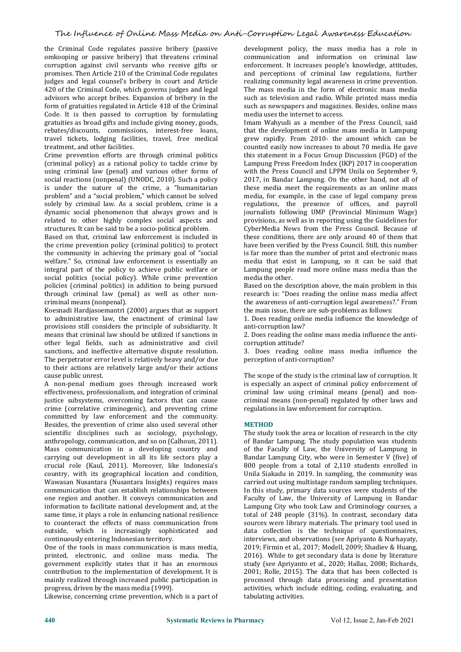## The Influence of Online Mass Media on Anti-Corruption Legal Awareness Education

the Criminal Code regulates passive bribery (passive omkooping or passive bribery) that threatens criminal corruption against civil servants who receive gifts or promises. Then Article 210 of the Criminal Code regulates judges and legal counsel's bribery in court and Article 420 of the Criminal Code, which governs judges and legal advisors who accept bribes. Expansion of bribery in the form of gratuities regulated in Article 418 of the Criminal Code. It is then passed to corruption by formulating gratuities as broad gifts and include giving money, goods, rebates/discounts, commissions, interest-free loans, travel tickets, lodging facilities, travel, free medical

Crime prevention efforts are through criminal politics (criminal policy) as a rational policy to tackle crime by using criminal law (penal) and various other forms of social reactions (nonpenal) (UNODC, 2010). Such a policy is under the nature of the crime, a "humanitarian problem" and a "social problem," which cannot be solved solely by criminal law. As a social problem, crime is a dynamic social phenomenon that always grows and is related to other highly complex social aspects and structures. It can be said to be a socio-political problem.

Based on that, criminal law enforcement is included in the crime prevention policy (criminal politics) to protect the community in achieving the primary goal of "social welfare." So, criminal law enforcement is essentially an integral part of the policy to achieve public welfare or social politics (social policy). While crime prevention policies (criminal politics) in addition to being pursued through criminal law (penal) as well as other non criminal means (nonpenal).

Koesnadi Hardjasoemantri (2000) argues that as support to administrative law, the enactment of criminal law provisions still considers the principle of subsidiarity. It means that criminal law should be utilized if sanctions in other legal fields, such as administrative and civil sanctions, and ineffective alternative dispute resolution. The perpetrator error level is relatively heavy and/or due to their actions are relatively large and/or their actions cause public unrest.

A non-penal medium goes through increased work effectiveness, professionalism, and integration of criminal justice subsystems, overcoming factors that can cause crime (correlative criminogenic), and preventing crime committed by law enforcement and the community. Besides, the prevention of crime also used several other scientific disciplines such as sociology, psychology, anthropology, communication, and so on (Calhoun, 2011). Mass communication in a developing country and carrying out development in all its life sectors play a crucial role (Kaul, 2011). Moreover, like Indonesia's country, with its geographical location and condition, Wawasan Nusantara (Nusantara Insights) requires mass communication that can establish relationships between one region and another. It conveys communication and information to facilitate national development and, at the same time, it plays a role in enhancing national resilience to counteract the effects of mass communication from outside, which is increasingly sophisticated and continuously entering Indonesian territory.

One of the tools in mass communication is mass media, printed, electronic, and online mass media. The government explicitly states that it has an enormous contribution to the implementation of development. It is mainly realized through increased public participation in progress, driven by the mass media (1999).

Likewise, concerning crime prevention, which is a part of

development policy, the mass media has a role in communication and information on criminal law enforcement. It increases people's knowledge, attitudes, and perceptions of criminal law regulations, further realizing community legal awareness in crime prevention. The mass media in the form of electronic mass media such as television and radio. While printed mass media such as newspapers and magazines. Besides, online mass media uses the internet to access.

Imam Wahyudi as a member of the Press Council, said that the development of online mass media in Lampung grew rapidly. From 2010- the amount which can be counted easily now increases to about 70 media. He gave this statement in a Focus Group Discussion (FGD) of the Lampung Press Freedom Index (IKP) 2017 in cooperation with the Press Council and LPPM Unila on September 9, 2017, in Bandar Lampung. On the other hand, not all of these media meet the requirements as an online mass media, for example, in the case of legal company press regulations, the presence of offices, and payroll journalists following UMP (Provincial Minimum Wage) provisions, as well as in reporting using the Guidelines for CyberMedia News from the Press Council. Because of these conditions, there are only around 40 of them that have been verified by the Press Council. Still, this number is far more than the number of print and electronic mass media that exist in Lampung, so it can be said that Lampung people read more online mass media than the media the other.

Based on the description above, the main problem in this research is: "Does reading the online mass media affect the awareness of anti-corruption legal awareness?." From the main issue, there are sub-problems as follows:

1. Does reading online media influence the knowledge of anti-corruption law?

2. Does reading the online mass media influence the anti corruption attitude?

3. Does reading online mass media influence the perception of anti-corruption?

The scope of the study is the criminal law of corruption. It is especially an aspect of criminal policy enforcement of criminal law using criminal means (penal) and non criminal means (non-penal) regulated by other laws and regulations in law enforcement for corruption.

#### **METHOD**

The study took the area or location of research in the city of Bandar Lampung. The study population was students of the Faculty of Law, the University of Lampung in Bandar Lampung City, who were in Semester V (five) of 800 people from a total of 2,110 students enrolled in Unila Siakadu in 2019. In sampling, the community was carried out using multistage random sampling techniques. In this study, primary data sources were students of the Faculty of Law, the University of Lampung in Bandar Lampung City who took Law and Criminology courses, a total of 248 people (31%). In contrast, secondary data sources were library materials. The primary tool used in data collection is the technique of questionnaires, interviews, and observations (see Apriyanto & Nurhayaty, 2019; Firmin et al., 2017; Modell, 2009; Shadiev & Huang, 2016). While to get secondary data is done by literature study (see Apriyanto et al., 2020; Hallas, 2008; Richards, 2001; Rolle, 2015). The data that has been collected is processed through data processing and presentation activities, which include editing, coding, evaluating, and tabulating activities.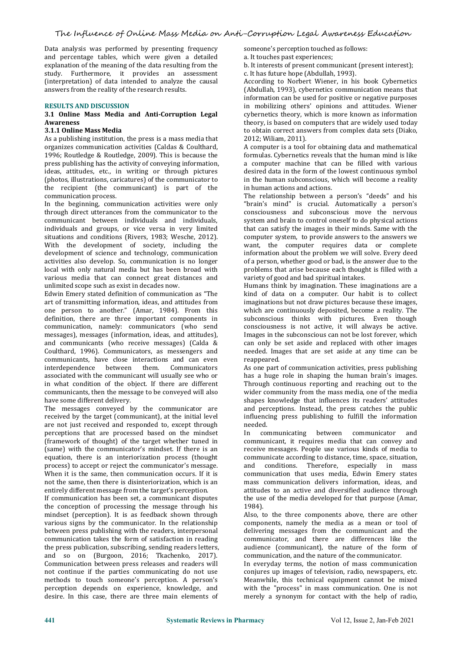Data analysis was performed by presenting frequency and percentage tables, which were given a detailed explanation of the meaning of the data resulting from the study. Furthermore, it provides an assessment (interpretation) of data intended to analyze the causal answers from the reality of the research results.

#### **RESULTS AND DISCUSSION**

#### **3.1 Online Mass Media and Anti-Corruption Legal Awareness**

#### **3.1.1 Online Mass Media**

As a publishing institution, the press is a mass media that organizes communication activities (Caldas & Coulthard, 1996; Routledge & Routledge, 2009). This is because the ideas, attitudes, etc., in writing or through pictures (photos, illustrations, caricatures) of the communicator to the recipient (the communicant) is part of the communication process.

In the beginning, communication activities were only through direct utterances from the communicator to the communicant between individuals and individuals, individuals and groups, or vice versa in very limited situations and conditions (Rivers, 1983; Wesche, 2012). With the development of society, including the development of science and technology, communication activities also develop. So, communication is no longer local with only natural media but has been broad with various media that can connect great distances and unlimited scope such as exist in decades now.

Edwin Emery stated definition of communication as "The art of transmitting information, ideas, and attitudes from one person to another." (Amar, 1984). From this definition, there are three important components in communication, namely: communicators (who send messages), messages (information, ideas, and attitudes), and communicants (who receive messages) (Calda & Coulthard, 1996). Communicators, as messengers and communicants, have close interactions and can even interdependence between associated with the communicant will usually see who or in what condition of the object. If there are different communicants, then the message to be conveyed will also have some different delivery.

The messages conveyed by the communicator are received by the target (communicant), at the initial level are not just received and responded to, except through perceptions that are processed based on the mindset (framework of thought) of the target whether tuned in (same) with the communicator's mindset. If there is an equation, there is an interiorization process (thought com<br>process) to accept or reject the communicator's message. and process) to accept or reject the communicator's message. When it is the same, then communication occurs. If it is not the same, then there is disinteriorization, which is an entirely different message from the target's perception.

If communication has been set, a communicant disputes the conception of processing the message through his mindset (perception). It is as feedback shown through various signs by the communicator. In the relationship between press publishing with the readers, interpersonal communication takes the form of satisfaction in reading the press publication, subscribing, sending readers letters, and so on (Burgoon, 2016; Tkachenko, 2017). Communication between press releases and readers will not continue if the parties communicating do not use methods to touch someone's perception. A person's perception depends on experience, knowledge, and desire. In this case, there are three main elements of

someone's perception touched as follows:

a. It touches past experiences;

b. It interests of present communicant (present interest); c. It has future hope (Abdullah, 1993).

According to Norbert Wiener, in his book Cybernetics (Abdullah, 1993), cybernetics communication means that information can be used for positive or negative purposes in mobilizing others' opinions and attitudes. Wiener cybernetics theory, which is more known as information theory, is based on computers that are widely used today to obtain correct answers from complex data sets (Diako, 2012; Wiliam, 2011).

A computer is a tool for obtaining data and mathematical formulas. Cybernetics reveals that the human mind is like a computer machine that can be filled with various desired data in the form of the lowest continuous symbol in the human subconscious, which will become a reality in human actions and actions.

The relationship between a person's "deeds" and his "brain's mind" is crucial. Automatically a person's consciousness and subconscious move the nervous system and brain to control oneself to do physical actions that can satisfy the images in their minds. Same with the computer system, to provide answers to the answers we want, the computer requires data or complete information about the problem we will solve. Every deed of a person, whether good or bad, is the answer due to the problems that arise because each thought is filled with a variety of good and bad spiritual intakes.

Humans think by imagination. These imaginations are a kind of data on a computer. Our habit is to collect imaginations but not draw pictures because these images, which are continuously deposited, become a reality. The subconscious thinks with pictures. Even though consciousness is not active, it will always be active. Images in the subconscious can not be lost forever, which can only be set aside and replaced with other images needed. Images that are set aside at any time can be reappeared.

As one part of communication activities, press publishing has a huge role in shaping the human brain's images. Through continuous reporting and reaching out to the wider community from the mass media, one of the media shapes knowledge that influences its readers' attitudes and perceptions. Instead, the press catches the public influencing press publishing to fulfill the information needed.

communicating between communicator and communicant, it requires media that can convey and receive messages. People use various kinds of media to communicate according to distance, time, space, situation, conditions. Therefore, especially in communication that uses media, Edwin Emery states mass communication delivers information, ideas, and attitudes to an active and diversified audience through the use of the media developed for that purpose (Amar, 1984).

Also, to the three components above, there are other components, namely the media as a mean or tool of delivering messages from the communicant and the communicator, and there are differences like the audience (communicant), the nature of the form of communication, and the nature of the communicator.

In everyday terms, the notion of mass communication conjures up images of television, radio, newspapers, etc. Meanwhile, this technical equipment cannot be mixed with the "process" in mass communication. One is not merely a synonym for contact with the help of radio,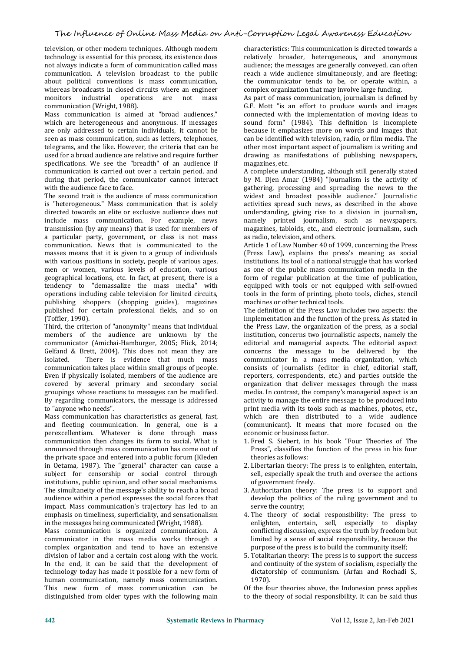television, or other modern techniques. Although modern technology is essential for this process, its existence does not always indicate a form of communication called mass communication. A television broadcast to the public about political conventions is mass communication, whereas broadcasts in closed circuits where an engineer<br>monitors industrial operations are not mass monitors industrial operations are not communication (Wright, 1988).

Mass communication is aimed at "broad audiences," which are heterogeneous and anonymous. If messages are only addressed to certain individuals, it cannot be seen as mass communication, such as letters, telephones, telegrams, and the like. However, the criteria that can be used for a broad audience are relative and require further specifications. We see the "breadth" of an audience if communication is carried out over a certain period, and during that period, the communicator cannot interact with the audience face to face.

The second trait is the audience of mass communication is "heterogeneous." Mass communication that is solely activities spread such news, as described in the above directed towards an elite or exclusive audience does not understanding, giving rise to a division in journalism, directed towards an elite or exclusive audience does not include mass communication. For example, news transmission (by any means) that is used for members of a particular party, government, or class is not mass communication. News that is communicated to the masses means that it is given to a group of individuals with various positions in society, people of various ages, men or women, various levels of education, various geographical locations, etc. In fact, at present, there is a tendency to "demassalize the mass media" with operations including cable television for limited circuits, publishing shoppers (shopping guides), magazines published for certain professional fields, and so on (Toffler, 1990).

Third, the criterion of "anonymity" means that individual members of the audience are unknown by the communicator (Amichai-Hamburger, 2005; Flick, 2014; Gelfand & Brett, 2004). This does not mean they are<br>isolated. There is evidence that much mass There is evidence that much mass communication takes place within small groups of people. Even if physically isolated, members of the audience are covered by several primary and secondary social groupings whose reactions to messages can be modified. By regarding communicators, the message is addressed to "anyone who needs".

Mass communication has characteristics as general, fast, and fleeting communication. In general, one is a perexcellentiam. Whatever is done through mass communication then changes its form to social. What is announced through mass communication has come out of the private space and entered into a public forum (Kleden in Oetama, 1987). The "general" character can cause a subject for censorship or social control through institutions, public opinion, and other social mechanisms. The simultaneity of the message's ability to reach a broad audience within a period expresses the social forces that impact. Mass communication's trajectory has led to an emphasis on timeliness, superficiality, and sensationalism in the messages being communicated (Wright, 1988).

Mass communication is organized communication. A communicator in the mass media works through a complex organization and tend to have an extensive division of labor and a certain cost along with the work. In the end, it can be said that the development of technology today has made it possible for a new form of human communication, namely mass communication. This new form of mass communication can be distinguished from older types with the following main

characteristics: This communication is directed towards a relatively broader, heterogeneous, and anonymous audience; the messages are generally conveyed, can often reach a wide audience simultaneously, and are fleeting; the communicator tends to be, or operate within, a complex organization that may involve large funding.

As part of mass communication, journalism is defined by G.F. Mott "is an effort to produce words and images connected with the implementation of moving ideas to sound form" (1984). This definition is incomplete because it emphasizes more on words and images that can be identified with television, radio, or film media. The other most important aspect of journalism is writing and drawing as manifestations of publishing newspapers, magazines, etc.

A complete understanding, although still generally stated by M. Djen Amar (1984) "Journalism is the activity of gathering, processing and spreading the news to the widest and broadest possible audience." Journalistic activities spread such news, as described in the above namely printed journalism, such as newspapers, magazines, tabloids, etc., and electronic journalism, such as radio, television, and others.

Article 1 of Law Number 40 of 1999, concerning the Press (Press Law), explains the press's meaning as social institutions. Its tool of a national struggle that has worked as one of the public mass communication media in the form of regular publication at the time of publication, equipped with tools or not equipped with self-owned tools in the form of printing, photo tools, cliches, stencil machines or other technical tools.

The definition of the Press Law includes two aspects: the implementation and the function of the press. As stated in the Press Law, the organization of the press, as a social institution, concerns two journalistic aspects, namely the editorial and managerial aspects. The editorial aspect concerns the message to be delivered by the communicator in a mass media organization, which consists of journalists (editor in chief, editorial staff, reporters, correspondents, etc.) and parties outside the organization that deliver messages through the mass media. In contrast, the company's managerial aspect is an activity to manage the entire message to be produced into print media with its tools such as machines, photos, etc., which are then distributed to a wide audience (communicant). It means that more focused on the economic or business factor.

- 1. Fred S. Siebert, in his book "Four Theories of The Press", classifies the function of the press in his four theories as follows:
- 2. Libertarian theory: The press is to enlighten, entertain, sell, especially speak the truth and oversee the actions of government freely.
- 3. Authoritarian theory: The press is to support and develop the politics of the ruling government and to serve the country;
- 4. The theory of social responsibility: The press to enlighten, entertain, sell, especially to display conflicting discussion, express the truth by freedom but limited by a sense of social responsibility, because the purpose of the press is to build the community itself;
- 5. Totalitarian theory: The press is to support the success and continuity of the system of socialism, especially the dictatorship of communism. (Arfan and Rochadi S., 1970).

Of the four theories above, the Indonesian press applies to the theory of social responsibility. It can be said thus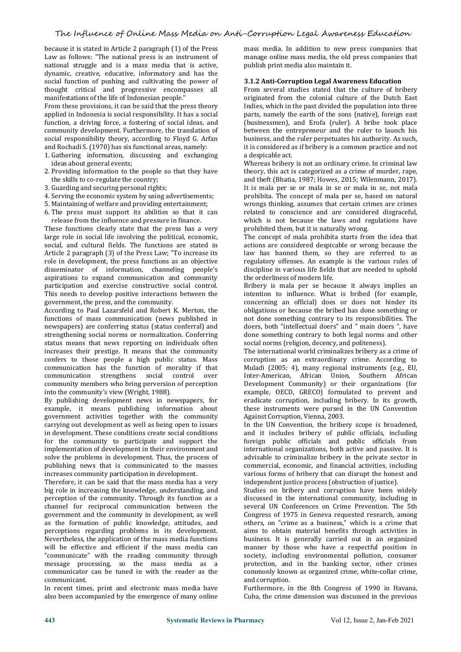because it is stated in Article 2 paragraph (1) of the Press Law as follows: "The national press is an instrument of national struggle and is a mass media that is active, dynamic, creative, educative, informatory and has the social function of pushing and cultivating the power of thought critical and progressive encompasses all manifestations of the life of Indonesian people."

From these provisions, it can be said that the press theory applied in Indonesia is social responsibility. It has a social function, a driving force, a fostering of social ideas, and community development. Furthermore, the translation of social responsibility theory, according to Floyd G. Arfan and Rochadi S. (1970) has six functional areas, namely:

1. Gathering information, discussing and exchanging ideas about general events;

- 2. Providing information to the people so that they have the skills to co-regulate the country;
- 3. Guarding and securing personal rights;
- 4. Serving the economic system by using advertisements;
- 5. Maintaining of welfare and providing entertainment;

6. The press must support its abilities so that it can release from the influence and pressure in finance.

These functions clearly state that the press has a very large role in social life involving the political, economic, social, and cultural fields. The functions are stated in Article 2 paragraph (3) of the Press Law; "To increase its role in development, the press functions as an objective disseminator of information, channeling people's aspirations to expand communication and community participation and exercise constructive social control. This needs to develop positive interactions between the government, the press, and the community.

According to Paul Lazarsfeld and Robert K. Merton, the functions of mass communication (news published in newspapers) are conferring status (status conferral) and doers, both "intellectual doers" and " main doers ", have strengthening social norms or normalization. Conferring done something contrary to both legal norms and oth strengthening social norms or normalization. Conferring status means that news reporting on individuals often increases their prestige. It means that the community confers to those people a high public status. Mass communication has the function of morality if that communication strengthens social control over community members who bring perversion of perception into the community's view (Wright, 1988).

By publishing development news in newspapers, for example, it means publishing information about government activities together with the community carrying out development as well as being open to issues in development. These conditions create social conditions for the community to participate and support the implementation of development in their environment and solve the problems in development. Thus, the process of publishing news that is communicated to the masses increases community participation in development.

Therefore, it can be said that the mass media has a very big role in increasing the knowledge, understanding, and perception of the community. Through its function as a channel for reciprocal communication between the government and the community in development, as well as the formation of public knowledge, attitudes, and perceptions regarding problems in its development. Nevertheless, the application of the mass media functions will be effective and efficient if the mass media can "communicate" with the reading community through message processing, so the mass media as a communicator can be tuned in with the reader as the communicant.

In recent times, print and electronic mass media have also been accompanied by the emergence of many online

mass media. In addition to new press companies that manage online mass media, the old press companies that publish print media also maintain it.

#### **3.1.2 Anti-Corruption Legal Awareness Education**

From several studies stated that the culture of bribery originated from the colonial culture of the Dutch East Indies, which in the past divided the population into three parts, namely the earth of the sons (native), foreign east (businessmen), and Erofa (ruler). A bribe took place between the entrepreneur and the ruler to launch his business, and the ruler perpetuates his authority. As such, it is considered as if bribery is a common practice and not a despicable act.

Whereas bribery is not an ordinary crime. In criminal law theory, this act is categorized as a crime of murder, rape, and theft (Bhatia, 1987; Howes, 2015; Wilenmann, 2017). It is mala per se or mala in se or mala in se, not mala prohibita. The concept of mala per se, based on natural wrongs thinking, assumes that certain crimes are crimes related to conscience and are considered disgraceful, which is not because the laws and regulations have prohibited them, but it is naturally wrong.

The concept of mala prohibita starts from the idea that actions are considered despicable or wrong because the law has banned them, so they are referred to as regulatory offenses. An example is the various rules of discipline in various life fields that are needed to uphold the orderliness of modern life.

Bribery is mala per se because it always implies an intention to influence. What is bribed (for example, concerning an official) does or does not hinder its obligations or because the bribed has done something or not done something contrary to its responsibilities. The doers, both "intellectual doers" and " main doers ", have social norms (religion, decency, and politeness).

The international world criminalizes bribery as a crime of corruption as an extraordinary crime. According to Muladi (2005: 4), many regional instruments (e.g., EU, Inter-American, African Union, Southern African Development Community) or their organizations (for example, OECD, GRECO) formulated to prevent and eradicate corruption, including bribery. In its growth, these instruments were pursed in the UN Convention Against Corruption, Vienna, 2003.

In the UN Convention, the bribery scope is broadened, and it includes bribery of public officials, including foreign public officials and public officials from international organizations, both active and passive. It is advisable to criminalize bribery in the private sector in commercial, economic, and financial activities, including various forms of bribery that can disrupt the honest and independent justice process (obstruction of justice).

Studies on bribery and corruption have been widely discussed in the international community, including in several UN Conferences on Crime Prevention. The 5th Congress of 1975 in Geneva requested research, among others, on "crime as a business," which is a crime that aims to obtain material benefits through activities in business. It is generally carried out in an organized manner by those who have a respectful position in society, including environmental pollution, consumer protection, and in the banking sector, other crimes commonly known as organized crime, white-collar crime, and corruption.

Furthermore, in the 8th Congress of 1990 in Havana, Cuba, the crime dimension was discussed in the previous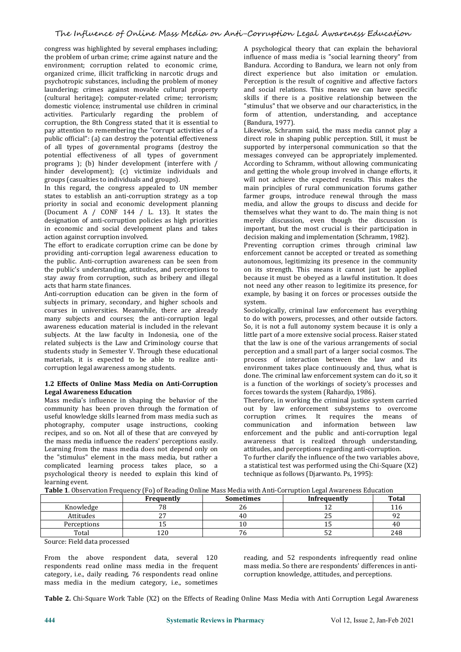congress was highlighted by several emphases including; the problem of urban crime; crime against nature and the environment; corruption related to economic crime, organized crime, illicit trafficking in narcotic drugs and psychotropic substances, including the problem of money laundering; crimes against movable cultural property (cultural heritage); computer-related crime; terrorism; domestic violence; instrumental use children in criminal activities. Particularly regarding the problem of corruption, the 8th Congress stated that it is essential to pay attention to remembering the "corrupt activities of a public official": (a) can destroy the potential effectiveness of all types of governmental programs (destroy the potential effectiveness of all types of government programs ); (b) hinder development (interfere with / hinder development); (c) victimize individuals and groups (casualties to individuals and groups).

In this regard, the congress appealed to UN member states to establish an anti-corruption strategy as a top priority in social and economic development planning media, and allow the groups to discuss and decide for (Document A / CONF 144 / L. 13). It states the themselves what they want to do. The main thing is not (Document A / CONF 144 /L. 13). It states the designation of anti-corruption policies as high priorities in economic and social development plans and takes action against corruption involved.

The effort to eradicate corruption crime can be done by providing anti-corruption legal awareness education to the public. Anti-corruption awareness can be seen from the public's understanding, attitudes, and perceptions to stay away from corruption, such as bribery and illegal acts that harm state finances.

Anti-corruption education can be given in the form of subjects in primary, secondary, and higher schools and courses in universities. Meanwhile, there are already many subjects and courses; the anti-corruption legal awareness education material is included in the relevant subjects. At the law faculty in Indonesia, one of the related subjects is the Law and Criminology course that students study in Semester V. Through these educational materials, it is expected to be able to realize anti corruption legal awareness among students.

#### **1.2 Effects of Online Mass Media on Anti-Corruption Legal Awareness Education**

Mass media's influence in shaping the behavior of the community has been proven through the formation of useful knowledge skills learned from mass media such as corruption criphotography, computer usage instructions, cooking communication photography, computer usage instructions, cooking recipes, and so on. Not all of these that are conveyed by the mass media influence the readers' perceptions easily. Learning from the mass media does not depend only on the "stimulus" element in the mass media, but rather a complicated learning process takes place, so a psychological theory is needed to explain this kind of learning event.

A psychological theory that can explain the behavioral influence of mass media is "social learning theory" from Bandura. According to Bandura, we learn not only from direct experience but also imitation or emulation. Perception is the result of cognitive and affective factors and social relations. This means we can have specific skills if there is a positive relationship between the "stimulus" that we observe and our characteristics, in the form of attention, understanding, and acceptance (Bandura, 1977).

Likewise, Schramm said, the mass media cannot play a direct role in shaping public perception. Still, it must be supported by interpersonal communication so that the messages conveyed can be appropriately implemented. According to Schramm, without allowing communicating and getting the whole group involved in change efforts, it will not achieve the expected results. This makes the main principles of rural communication forums gather farmer groups, introduce renewal through the mass media, and allow the groups to discuss and decide for merely discussion, even though the discussion is important, but the most crucial is their participation in decision making and implementation (Schramm, 1982).

Preventing corruption crimes through criminal law enforcement cannot be accepted or treated as something autonomous, legitimizing its presence in the community on its strength. This means it cannot just be applied because it must be obeyed as a lawful institution. It does not need any other reason to legitimize its presence, for example, by basing it on forces or processes outside the system.

Sociologically, criminal law enforcement has everything to do with powers, processes, and other outside factors. So, it is not a full autonomy system because it is only a little part of a more extensive social process. Raiser stated that the law is one of the various arrangements of social perception and a small part of a larger social cosmos. The process of interaction between the law and its environment takes place continuously and, thus, what is done. The criminal law enforcement system can do it, so it is a function of the workings of society's processes and forces towards the system (Rahardjo, 1986).

Therefore, in working the criminal justice system carried out by law enforcement subsystems to overcome<br>corruntion crimes It requires the means of corruption crimes. It requires the means and information between law enforcement and the public and anti-corruption legal awareness that is realized through understanding, attitudes, and perceptions regarding anti-corruption. To further clarify the influence of the two variables above, a statistical test was performed using the Chi-Square (X2) technique as follows (Djarwanto. Ps, 1995):

|  |  | Table 1. Observation Frequency (Fo) of Reading Online Mass Media with Anti-Corruption Legal Awareness Education |  |
|--|--|-----------------------------------------------------------------------------------------------------------------|--|
|  |  |                                                                                                                 |  |

|                                    | Frequently    | <b>Sometimes</b> | Infrequently   | <b>Total</b> |  |  |
|------------------------------------|---------------|------------------|----------------|--------------|--|--|
| Knowledge                          | 70<br>ົ<br>ΖU |                  |                | 116          |  |  |
| Attitudes                          | $\sim$        | 4U               | $\overline{a}$ | ے ر          |  |  |
| Perceptions                        | - 11          | ∸                | ᆂ              |              |  |  |
| Total                              | $\sim$<br>ᅩᄼ  |                  | ັ              | 248          |  |  |
| $\alpha$ $\alpha$ $\alpha$ $\beta$ |               |                  |                |              |  |  |

Source: Field data processed

From the above respondent data, several 120 respondents read online mass media in the frequent category, i.e., daily reading, 76 respondents read online mass media in the medium category, i.e., sometimes

reading, and 52 respondents infrequently read online mass media. So there are respondents' differences in anti corruption knowledge, attitudes, and perceptions.

**Table 2.** Chi-Square Work Table (X2) on the Effects of Reading Online Mass Media with Anti Corruption Legal Awareness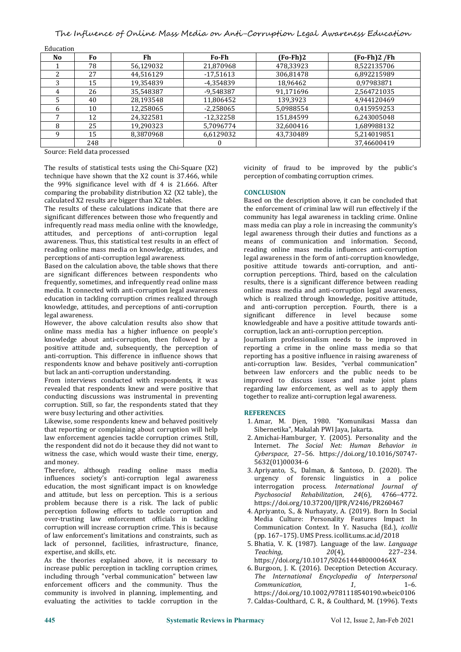The Influence of Online Mass Media on Anti-Corruption Legal Awareness Education

| No. | Fo. | Fh        | Fo-Fh       | $(Fo-Fh)2$ | $(Fo-Fh)2$ /Fh |
|-----|-----|-----------|-------------|------------|----------------|
|     | 78  | 56,129032 | 21,870968   | 478,33923  | 8.522135706    |
|     | 27  | 44.516129 | $-17.51613$ | 306,81478  | 6.892215989    |
|     | 15  | 19,354839 | -4,354839   | 18,96462   | 0.97983871     |
| 4   | 26  | 35,548387 | -9,548387   | 91.171696  | 2.564721035    |
|     | 40  | 28,193548 | 11,806452   | 139,3923   | 4.944120469    |
| b   | 10  | 12,258065 | $-2,258065$ | 5,0988554  | 0.415959253    |
|     | 12  | 24,322581 | $-12.32258$ | 151,84599  | 6,243005048    |
| 8   | 25  | 19,290323 | 5.7096774   | 32.600416  | 1.689988132    |
| q   | 15  | 8,3870968 | 6,6129032   | 43,730489  | 5.214019851    |
|     | 248 |           |             |            | 37,46600419    |
|     |     |           |             |            |                |

Education

Source: Field data processed

The results of statistical tests using the Chi-Square (X2) technique have shown that the X2 count is 37.466, while the 99% significance level with df 4 is 21.666. After comparing the probability distribution X2 (X2 table), the calculated X2 results are bigger than X2 tables.

The results of these calculations indicate that there are significant differences between those who frequently and infrequently read mass media online with the knowledge, attitudes, and perceptions of anti-corruption legal awareness. Thus, this statistical test results in an effect of reading online mass media on knowledge, attitudes, and perceptions of anti-corruption legal awareness.

Based on the calculation above, the table shows that there are significant differences between respondents who frequently, sometimes, and infrequently read online mass media. It connected with anti-corruption legal awareness education in tackling corruption crimes realized through knowledge, attitudes, and perceptions of anti-corruption and anti-corruption per legal awareness. legal awareness.

However, the above calculation results also show that online mass media has a higher influence on people's knowledge about anti-corruption, then followed by a positive attitude and, subsequently, the perception of anti-corruption. This difference in influence shows that respondents know and behave positively anti-corruption<br>but lack an anti-corruption understanding.

From interviews conducted with respondents, it was revealed that respondents knew and were positive that conducting discussions was instrumental in preventing corruption. Still, so far, the respondents stated that they were busy lecturing and other activities.

Likewise, some respondents knew and behaved positively that reporting or complaining about corruption will help law enforcement agencies tackle corruption crimes. Still, the respondent did not do it because they did not want to **Internet**. The Social Net: Human Behavior in witness the case, which would waste their time, energy, and money.

Therefore, although reading online mass media influences society's anti-corruption legal awareness education, the most significant impact is on knowledge and attitude, but less on perception. This is a serious problem because there is a risk. The lack of public perception following efforts to tackle corruption and over-trusting law enforcement officials in tackling corruption will increase corruption crime. This is because of law enforcement's limitations and constraints, such as lack of personnel, facilities, infrastructure, finance, expertise, and skills, etc.

As the theories explained above, it is necessary to https://doi.org/10.1017/S026144480000464X<br>increase public perception in tackling corruption crimes, 6. Burgoon, J. K. (2016). Deception Detection Accuracy. increase public perception in tackling corruption crimes, including through "verbal communication" between law The Internation enforcement officers and the community. Thus the Communication, enforcement officers and the community. Thus the community is involved in planning, implementing, and evaluating the activities to tackle corruption in the

vicinity of fraud to be improved by the public's perception of combating corruption crimes.

#### **CONCLUSION**

Based on the description above, it can be concluded that the enforcement of criminal law will run effectively if the community has legal awareness in tackling crime. Online mass media can play a role in increasing the community's legal awareness through their duties and functions as a means of communication and information. Second, reading online mass media influences anti-corruption legal awareness in the form of anti-corruption knowledge, positive attitude towards anti-corruption, and anti corruption perceptions. Third, based on the calculation results, there is a significant difference between reading online mass media and anti-corruption legal awareness, which is realized through knowledge, positive attitude, and anti-corruption perception. Fourth, there is a significant difference in level because some knowledgeable and have a positive attitude towards anti corruption, lack an anti-corruption perception.

Journalism professionalism needs to be improved in reporting a crime in the online mass media so that reporting has a positive influence in raising awareness of anti-corruption law. Besides,"verbal communication" between law enforcers and the public needs to be improved to discuss issues and make joint plans regarding law enforcement, as well as to apply them together to realize anti-corruption legal awareness.

#### **REFERENCES**

- 1. Amar, M. Djen, 1980. "Komunikasi Massa dan Sibernetika", Makalah PWI Jaya, Jakarta.
- 2. Amichai-Hamburger, Y. (2005). Personality and the Internet. *The Social Net: Human Behavior in Cyberspace*, 27–56. https://doi.org/10.1016/S0747- 5632(01)00034-6
- 3. Apriyanto, S., Dalman, & Santoso, D. (2020). The urgency of forensic linguistics in a police interrogation process. *International Journal of Psychosocial Rehabilitation*, *24*(6), 4766–4772. https://doi.org/10.37200/IJPR/V24I6/PR260467
- 4. Apriyanto, S., & Nurhayaty, A. (2019). Born In Social Media Culture: Personality Features Impact In Communication Context. In Y. Nasucha (Ed.), *icollit* (pp. 167–175). UMS Press. icollit.ums.ac.id/2018
- 5. Bhatia, V. K. (1987). Language of the law. *Language Teaching*, *<sup>20</sup>*(4), 227–234. https://doi.org/10.1017/S026144480000464X
- 6. Burgoon, J. K. (2016). Deception Detection Accuracy. *The International Encyclopedia of Interpersonal Communication*, *1*, 1–6. https://doi.org/10.1002/9781118540190.wbeic0106
- 7. Caldas-Coulthard, C. R., & Coulthard, M. (1996). Texts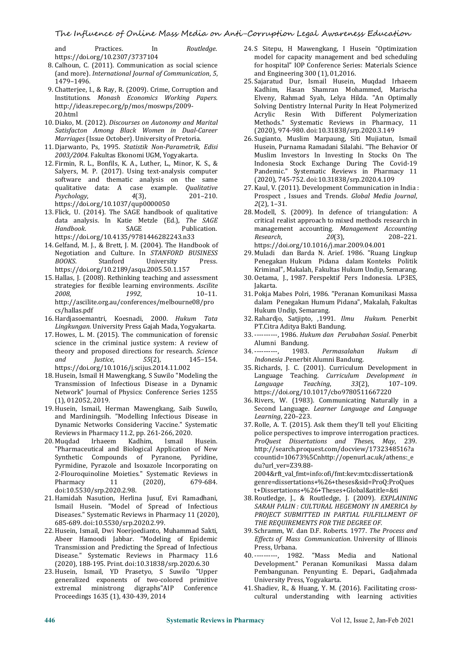and Practices. In *Routledge*. https://doi.org/10.2307/3737104

- 8. Calhoun, C. (2011). Communication as social science (and more). *International Journal of Communication*, *5*, 1479–1496.
- 9. Chatterjee, I., & Ray, R. (2009). Crime, Corruption and Institutions. *Monash Economics Working Papers*. http://ideas.repec.org/p/mos/moswps/2009- 20.html
- 10. Diako, M. (2012). *Discourses on Autonomy and Marital Satisfacton Among Black Women in Dual-Career Marriages* (Issue October). University of Pretoria.
- 11. Djarwanto, Ps, 1995. *Statistik Non-Parametrik, Edisi 2003/2004.* Fakultas Ekonomi UGM, Yogyakarta.
- 12. Firmin, R. L., Bonfils, K. A., Luther, L., Minor, K. S., & Salyers, M. P. (2017). Using text-analysis computer software and thematic analysis on the same qualitative data: A case example. *Qualitative* **27. Kaul, V. (20** *Psychology,* **4**(3), **201–210.** Prospect, https://doi.org/10.1037/qup0000050 **2(2)**, 1–31. https://doi.org/10.1037/qup0000050
- 13. Flick, U. (2014). The SAGE handbook of qualitative data analysis. In Katie Metzle (Ed.), *The SAGE* **Publication** https://doi.org/10.4135/9781446282243.n33
- 14. Gelfand, M. J., & Brett, J. M. (2004). The Handbook of Negotiation and Culture. In *STANFORD BUSINESS BOOKS*. Stanford University Press.https://doi.org/10.2189/asqu.2005.50.1.157
- 15.Hallas, J. (2008). Rethinking teaching and assessment strategies for flexible learning environments. *Ascilite <sup>2008</sup>*, *<sup>1992</sup>*, 10–11. http://ascilite.org.au/conferences/melbourne08/pro cs/hallas.pdf
- 16.Hardjasoemantri, Koesnadi, 2000. *Hukum Tata Lingkungan.* University Press Gajah Mada, Yogyakarta.
- 17.Howes, L. M. (2015). The communication of forensic science in the criminal justice system: A review of Alumni Bandung.<br>theory and proposed directions for research. Science 34. ----------, 1983. theory and proposed directions for research. *Science and Justice*, *<sup>55</sup>*(2), 145–154. https://doi.org/10.1016/j.scijus.2014.11.002
- 18. Husein, Ismail H Mawengkang, S Suwilo "Modeling the Language Transmission of Infectious Disease in a Dynamic Language Transmission of Infectious Disease in a Dynamic Network" Journal of Physics: Conference Series 1255 (1), 012052, 2019.
- 19. Husein, Ismail, Herman Mawengkang, Saib Suwilo, Second Language.<br>and Mardiningsih. "Modelling Infectious Disease in *Learning*, 220-223. and Mardiningsih. "Modelling Infectious Disease in Reviews in Pharmacy 11.2, pp. 261-266, 2020.
- 20. Muqdad "Pharmaceutical and Biological Application of New Synthetic Compounds of Pyranone, Pyridine, Pyrmidine, Pyrazole and Isoxazole Incorporating on 2-Flouroquinoline Moieties." Systematic Reviews in Pharmacy 11 (2020), 679-684. Pharmacy 11 (2020), 679-684. doi:10.5530/srp.2020.2.98.
- 21.Hamidah Nasution, Herlina Jusuf, Evi Ramadhani, Ismail Husein. "Model of Spread of Infectious Diseases." Systematic Reviews in Pharmacy 11 (2020), 685-689. doi:10.5530/srp.2020.2.99.
- 22.Husein, Ismail, Dwi Noerjoedianto, Muhammad Sakti, Abeer Hamoodi Jabbar. "Modeling of Epidemic Transmission and Predicting the Spread of Infectious Disease." Systematic Reviews in Pharmacy 11.6 (2020), 188-195. Print. doi:10.31838/srp.2020.6.30
- 23.Husein, Ismail, YD Prasetyo, S Suwilo "Upper generalized exponents of two-colored primitive extremal ministrong digraphs"AIP Proceedings 1635 (1), 430-439, 2014
- 24. S Sitepu, H Mawengkang, I Husein "Optimization model for capacity management and bed scheduling for hospital" IOP Conference Series: Materials Science and Engineering 300 (1), 01,2016.
- 25. Sajaratud Dur, Ismail Husein, Muqdad Irhaeem Kadhim, Hasan Shamran Mohammed, Marischa Elveny, Rahmad Syah, Lelya Hilda. "An Optimally Solving Dentistry Internal Purity In Heat Polymerized Acrylic Resin With Different Polymerization Methods." Systematic Reviews in Pharmacy, 11 (2020), 974-980. doi:10.31838/srp.2020.3.149
- 26. Sugianto, Muslim Marpaung, Siti Mujiatun, Ismail Husein, Purnama Ramadani Silalahi. "The Behavior Of Muslim Investors In Investing In Stocks On The Indonesia Stock Exchange During The Covid-19 Pandemic." Systematic Reviews in Pharmacy 11 (2020), 745-752. doi:10.31838/srp.2020.4.109
- 27. Kaul, V. (2011). Development Communication in India : Prospect, Issues and Trends. *Global Media Journal*,
- 28. Modell, S. (2009). In defence of triangulation: A critical realist approach to mixed methods research in management accounting. *Management Accounting*<br>Research, 20(3), 208-221. *Research*, *20*(3), 208–221.
- https://doi.org/10.1016/j.mar.2009.04.001 29. Muladi dan Barda N. Arief. 1986. "Ruang Lingkup Penegakan Hukum Pidana dalam Konteks Politik Kriminal", Makalah, Fakultas Hukum Undip, Semarang.
- 30. Oetama, J., 1987. Perspektif Pers Indonesia. LP3ES, Jakarta.
- 31. Pokja Mabes Polri, 1986. "Peranan Komunikasi Massa dalam Penegakan Humum Pidana", Makalah, Fakultas Hukum Undip, Semarang.
- 32. Rahardjo, Satjipto, ,1991. *Ilmu Hukum.* Penerbit PT.Citra Aditya Bakti Bandung.
- 33. ----------, 1986. *Hukum dan Perubahan Sosial*. Penerbit Alumni Bandung.
- 34. ----------, 1983. *Permasalahan Hukum di Indonesia* .Penerbit Alumni Bandung.
- 35. Richards, J. C. (2001). Curriculum Development in Language Teaching. *Curriculum Development in Language Teaching*, *33*(2), 107–109. https://doi.org/10.1017/cbo9780511667220
- 36. Rivers, W. (1983). Communicating Naturally in a Second Language. *Learner Language and Language Learning*, 220–223.
- Dynamic Networks Considering Vaccine." Systematic 37. Rolle, A. T. (2015). Ask them they'll tell you! Eliciting Reviews in Pharmacy 11.2, pp. 261-266, 2020. pulice perspectives to improve interrogation practices. 37. Rolle, A. T. (2015). Ask them they'll tell you! Eliciting police perspectives to improve interrogation practices. *ProQuest Dissertations and Theses*, *May*, 239. http://search.proquest.com/docview/1732348516?a ccountid=10673%5Cnhttp://openurl.ac.uk/athens:\_e du?url\_ver=Z39.88- 2004&rft\_val\_fmt=info:ofi/fmt:kev:mtx:dissertation& genre=dissertations+%26+theses&sid=ProQ:ProQues
	- t+Dissertations+%26+Theses+Global&atitle=&ti 38. Routledge, J., & Routledge, J. (2009). *EXPLAINING SARAH PALIN : CULTURAL HEGEMONY IN AMERICA by PROJECT SUBMITTED IN PARTIAL FULFILLMENT OF THE REQUIREMENTS FOR THE DEGREE OF*.
	- 39. Schramm, W. dan D.F. Roberts. 1977. *The Process and Ef ects of Mass Communication*. University of Illinois Press, Urbana.
	- 40. ----------, 1982. "Mass Media and National Development." Peranan Komunikasi Massa dalam Pembangunan. Penyunting E. Depari., Gadjahmada University Press, Yogyakarta.
	- 41. Shadiev, R., & Huang, Y. M. (2016). Facilitating cross cultural understanding with learning activities